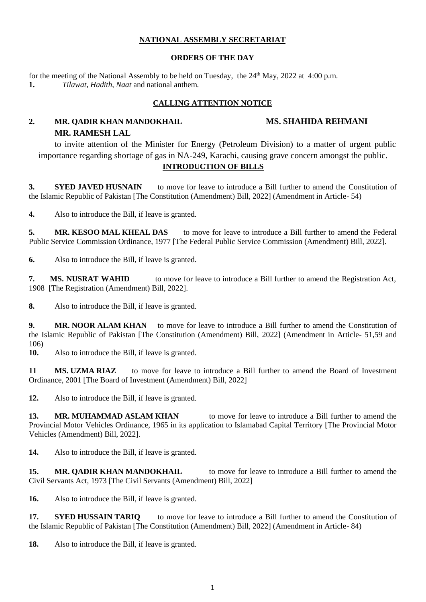## **NATIONAL ASSEMBLY SECRETARIAT**

## **ORDERS OF THE DAY**

for the meeting of the National Assembly to be held on Tuesday, the  $24<sup>th</sup>$  May, 2022 at 4:00 p.m. **1.** *Tilawat, Hadith*, *Naat* and national anthem*.*

# **CALLING ATTENTION NOTICE**

# **2. MR. QADIR KHAN MANDOKHAIL MS. SHAHIDA REHMANI MR. RAMESH LAL**

# to invite attention of the Minister for Energy (Petroleum Division) to a matter of urgent public importance regarding shortage of gas in NA-249, Karachi, causing grave concern amongst the public.. **INTRODUCTION OF BILLS**

**3. SYED JAVED HUSNAIN** to move for leave to introduce a Bill further to amend the Constitution of the Islamic Republic of Pakistan [The Constitution (Amendment) Bill, 2022] (Amendment in Article- 54)

**4.** Also to introduce the Bill, if leave is granted.

**5. MR. KESOO MAL KHEAL DAS** to move for leave to introduce a Bill further to amend the Federal Public Service Commission Ordinance, 1977 [The Federal Public Service Commission (Amendment) Bill, 2022].

**6.** Also to introduce the Bill, if leave is granted.

**7. MS. NUSRAT WAHID** to move for leave to introduce a Bill further to amend the Registration Act, 1908 [The Registration (Amendment) Bill, 2022].

**8.** Also to introduce the Bill, if leave is granted.

**9. MR. NOOR ALAM KHAN** to move for leave to introduce a Bill further to amend the Constitution of the Islamic Republic of Pakistan [The Constitution (Amendment) Bill, 2022] (Amendment in Article- 51,59 and 106)

**10.** Also to introduce the Bill, if leave is granted.

**11 MS. UZMA RIAZ** to move for leave to introduce a Bill further to amend the Board of Investment Ordinance, 2001 [The Board of Investment (Amendment) Bill, 2022]

**12.** Also to introduce the Bill, if leave is granted.

**13. MR. MUHAMMAD ASLAM KHAN** to move for leave to introduce a Bill further to amend the Provincial Motor Vehicles Ordinance, 1965 in its application to Islamabad Capital Territory [The Provincial Motor Vehicles (Amendment) Bill, 2022].

**14.** Also to introduce the Bill, if leave is granted.

**15. MR. QADIR KHAN MANDOKHAIL** to move for leave to introduce a Bill further to amend the Civil Servants Act, 1973 [The Civil Servants (Amendment) Bill, 2022]

**16.** Also to introduce the Bill, if leave is granted.

17. **SYED HUSSAIN TARIO** to move for leave to introduce a Bill further to amend the Constitution of the Islamic Republic of Pakistan [The Constitution (Amendment) Bill, 2022] (Amendment in Article- 84)

**18.** Also to introduce the Bill, if leave is granted.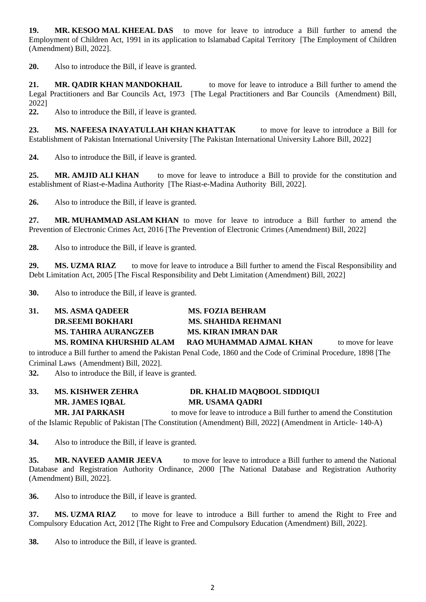**19. MR. KESOO MAL KHEEAL DAS** to move for leave to introduce a Bill further to amend the Employment of Children Act, 1991 in its application to Islamabad Capital Territory [The Employment of Children (Amendment) Bill, 2022].

**20.** Also to introduce the Bill, if leave is granted.

**21. MR. QADIR KHAN MANDOKHAIL** to move for leave to introduce a Bill further to amend the Legal Practitioners and Bar Councils Act, 1973 [The Legal Practitioners and Bar Councils (Amendment) Bill, 2022]

**22.** Also to introduce the Bill, if leave is granted.

**23. MS. NAFEESA INAYATULLAH KHAN KHATTAK** to move for leave to introduce a Bill for Establishment of Pakistan International University [The Pakistan International University Lahore Bill, 2022]

**24.** Also to introduce the Bill, if leave is granted.

**25. MR. AMJID ALI KHAN** to move for leave to introduce a Bill to provide for the constitution and establishment of Riast-e-Madina Authority [The Riast-e-Madina Authority Bill, 2022].

**26.** Also to introduce the Bill, if leave is granted.

**27. MR. MUHAMMAD ASLAM KHAN** to move for leave to introduce a Bill further to amend the Prevention of Electronic Crimes Act, 2016 [The Prevention of Electronic Crimes (Amendment) Bill, 2022]

**28.** Also to introduce the Bill, if leave is granted.

29. **MS. UZMA RIAZ** to move for leave to introduce a Bill further to amend the Fiscal Responsibility and Debt Limitation Act, 2005 [The Fiscal Responsibility and Debt Limitation (Amendment) Bill, 2022]

**30.** Also to introduce the Bill, if leave is granted.

| 31. | <b>MS. ASMA QADEER</b>      | <b>MS. FOZIA BEHRAM</b>    |                   |
|-----|-----------------------------|----------------------------|-------------------|
|     | <b>DR.SEEMI BOKHARI</b>     | <b>MS. SHAHIDA REHMANI</b> |                   |
|     | <b>MS. TAHIRA AURANGZEB</b> | <b>MS. KIRAN IMRAN DAR</b> |                   |
|     | MS. ROMINA KHURSHID ALAM    | RAO MUHAMMAD A.IMAL KHAN   | to move for leave |

to introduce a Bill further to amend the Pakistan Penal Code, 1860 and the Code of Criminal Procedure, 1898 [The Criminal Laws (Amendment) Bill, 2022].

**32.** Also to introduce the Bill, if leave is granted.

| 33. | <b>MS. KISHWER ZEHRA</b> | DR. KHALID MAQBOOL SIDDIQUI                                             |
|-----|--------------------------|-------------------------------------------------------------------------|
|     | <b>MR. JAMES IOBAL</b>   | <b>MR. USAMA QADRI</b>                                                  |
|     | <b>MR. JAI PARKASH</b>   | to move for leave to introduce a Bill further to amend the Constitution |

of the Islamic Republic of Pakistan [The Constitution (Amendment) Bill, 2022] (Amendment in Article- 140-A)

**34.** Also to introduce the Bill, if leave is granted.

**35. MR. NAVEED AAMIR JEEVA** to move for leave to introduce a Bill further to amend the National Database and Registration Authority Ordinance, 2000 [The National Database and Registration Authority (Amendment) Bill, 2022].

**36.** Also to introduce the Bill, if leave is granted.

**37. MS. UZMA RIAZ** to move for leave to introduce a Bill further to amend the Right to Free and Compulsory Education Act, 2012 [The Right to Free and Compulsory Education (Amendment) Bill, 2022].

**38.** Also to introduce the Bill, if leave is granted.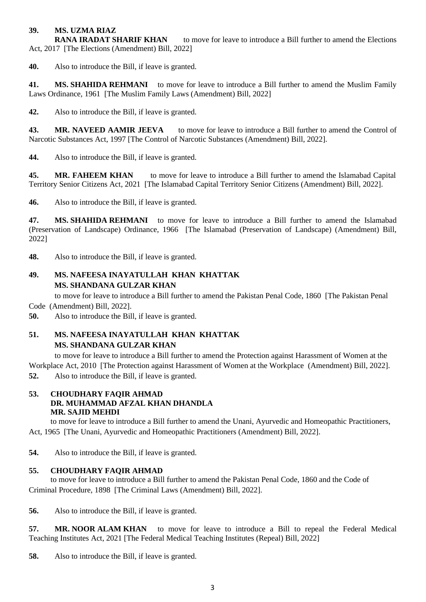### **39. MS. UZMA RIAZ**

**RANA IRADAT SHARIF KHAN** to move for leave to introduce a Bill further to amend the Elections Act, 2017 [The Elections (Amendment) Bill, 2022]

**40.** Also to introduce the Bill, if leave is granted.

**41. MS. SHAHIDA REHMANI** to move for leave to introduce a Bill further to amend the Muslim Family Laws Ordinance, 1961 [The Muslim Family Laws (Amendment) Bill, 2022]

**42.** Also to introduce the Bill, if leave is granted.

**43. MR. NAVEED AAMIR JEEVA** to move for leave to introduce a Bill further to amend the Control of Narcotic Substances Act, 1997 [The Control of Narcotic Substances (Amendment) Bill, 2022].

**44.** Also to introduce the Bill, if leave is granted.

**45. MR. FAHEEM KHAN** to move for leave to introduce a Bill further to amend the Islamabad Capital Territory Senior Citizens Act, 2021 [The Islamabad Capital Territory Senior Citizens (Amendment) Bill, 2022].

**46.** Also to introduce the Bill, if leave is granted.

**47. MS. SHAHIDA REHMANI** to move for leave to introduce a Bill further to amend the Islamabad (Preservation of Landscape) Ordinance, 1966 [The Islamabad (Preservation of Landscape) (Amendment) Bill, 2022]

**48.** Also to introduce the Bill, if leave is granted.

## **49. MS. NAFEESA INAYATULLAH KHAN KHATTAK MS. SHANDANA GULZAR KHAN**

to move for leave to introduce a Bill further to amend the Pakistan Penal Code, 1860 [The Pakistan Penal

Code (Amendment) Bill, 2022].

**50.** Also to introduce the Bill, if leave is granted.

# **51. MS. NAFEESA INAYATULLAH KHAN KHATTAK MS. SHANDANA GULZAR KHAN**

to move for leave to introduce a Bill further to amend the Protection against Harassment of Women at the Workplace Act, 2010 [The Protection against Harassment of Women at the Workplace (Amendment) Bill, 2022].

**52.** Also to introduce the Bill, if leave is granted.

### **53. CHOUDHARY FAQIR AHMAD DR. MUHAMMAD AFZAL KHAN DHANDLA MR. SAJID MEHDI**

 to move for leave to introduce a Bill further to amend the Unani, Ayurvedic and Homeopathic Practitioners, Act, 1965 [The Unani, Ayurvedic and Homeopathic Practitioners (Amendment) Bill, 2022].

**54.** Also to introduce the Bill, if leave is granted.

## **55. CHOUDHARY FAQIR AHMAD**

 to move for leave to introduce a Bill further to amend the Pakistan Penal Code, 1860 and the Code of Criminal Procedure, 1898 [The Criminal Laws (Amendment) Bill, 2022].

**56.** Also to introduce the Bill, if leave is granted.

**57. MR. NOOR ALAM KHAN** to move for leave to introduce a Bill to repeal the Federal Medical Teaching Institutes Act, 2021 [The Federal Medical Teaching Institutes (Repeal) Bill, 2022]

**58.** Also to introduce the Bill, if leave is granted.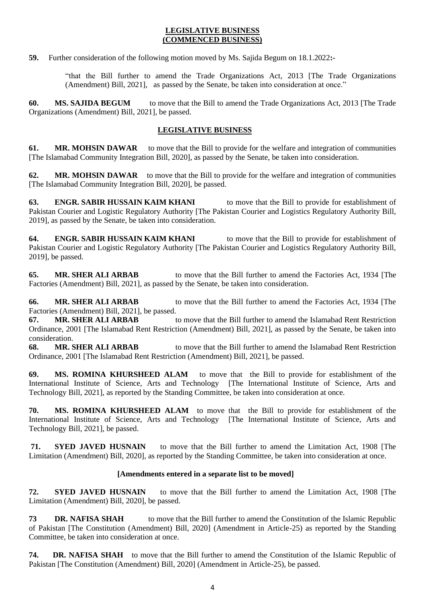### **LEGISLATIVE BUSINESS (COMMENCED BUSINESS)**

**59.** Further consideration of the following motion moved by Ms. Sajida Begum on 18.1.2022**:-**

"that the Bill further to amend the Trade Organizations Act, 2013 [The Trade Organizations (Amendment) Bill, 2021], as passed by the Senate, be taken into consideration at once."

**60. MS. SAJIDA BEGUM** to move that the Bill to amend the Trade Organizations Act, 2013 [The Trade Organizations (Amendment) Bill, 2021], be passed.

## **LEGISLATIVE BUSINESS**

**61. MR. MOHSIN DAWAR** to move that the Bill to provide for the welfare and integration of communities [The Islamabad Community Integration Bill, 2020], as passed by the Senate, be taken into consideration.

**62. MR. MOHSIN DAWAR** to move that the Bill to provide for the welfare and integration of communities [The Islamabad Community Integration Bill, 2020], be passed.

**63. ENGR. SABIR HUSSAIN KAIM KHANI** to move that the Bill to provide for establishment of Pakistan Courier and Logistic Regulatory Authority [The Pakistan Courier and Logistics Regulatory Authority Bill, 2019], as passed by the Senate, be taken into consideration.

**64. ENGR. SABIR HUSSAIN KAIM KHANI** to move that the Bill to provide for establishment of Pakistan Courier and Logistic Regulatory Authority [The Pakistan Courier and Logistics Regulatory Authority Bill, 2019], be passed.

**65. MR. SHER ALI ARBAB** to move that the Bill further to amend the Factories Act, 1934 [The Factories (Amendment) Bill, 2021], as passed by the Senate, be taken into consideration.

**66. MR. SHER ALI ARBAB** to move that the Bill further to amend the Factories Act, 1934 [The Factories (Amendment) Bill, 2021], be passed.

**67. MR. SHER ALI ARBAB** to move that the Bill further to amend the Islamabad Rent Restriction Ordinance, 2001 [The Islamabad Rent Restriction (Amendment) Bill, 2021], as passed by the Senate, be taken into consideration.

**68. MR. SHER ALI ARBAB** to move that the Bill further to amend the Islamabad Rent Restriction Ordinance, 2001 [The Islamabad Rent Restriction (Amendment) Bill, 2021], be passed.

**69. MS. ROMINA KHURSHEED ALAM** to move that the Bill to provide for establishment of the International Institute of Science, Arts and Technology [The International Institute of Science, Arts and Technology Bill, 2021], as reported by the Standing Committee, be taken into consideration at once.

**70. MS. ROMINA KHURSHEED ALAM** to move that the Bill to provide for establishment of the International Institute of Science, Arts and Technology [The International Institute of Science, Arts and Technology Bill, 2021], be passed.

**71. SYED JAVED HUSNAIN** to move that the Bill further to amend the Limitation Act, 1908 [The Limitation (Amendment) Bill, 2020], as reported by the Standing Committee, be taken into consideration at once.

## **[Amendments entered in a separate list to be moved]**

**72. SYED JAVED HUSNAIN** to move that the Bill further to amend the Limitation Act, 1908 [The Limitation (Amendment) Bill, 2020], be passed.

**73 DR. NAFISA SHAH** to move that the Bill further to amend the Constitution of the Islamic Republic of Pakistan [The Constitution (Amendment) Bill, 2020] (Amendment in Article-25) as reported by the Standing Committee, be taken into consideration at once.

**74. DR. NAFISA SHAH** to move that the Bill further to amend the Constitution of the Islamic Republic of Pakistan [The Constitution (Amendment) Bill, 2020] (Amendment in Article-25), be passed.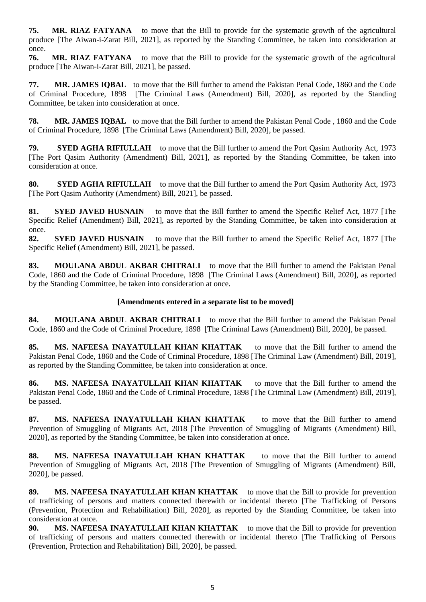**75. MR. RIAZ FATYANA** to move that the Bill to provide for the systematic growth of the agricultural produce [The Aiwan-i-Zarat Bill, 2021], as reported by the Standing Committee, be taken into consideration at once.

**76. MR. RIAZ FATYANA** to move that the Bill to provide for the systematic growth of the agricultural produce [The Aiwan-i-Zarat Bill, 2021], be passed.

**77. MR. JAMES IQBAL** to move that the Bill further to amend the Pakistan Penal Code, 1860 and the Code of Criminal Procedure, 1898 [The Criminal Laws (Amendment) Bill, 2020], as reported by the Standing Committee, be taken into consideration at once.

**78. MR. JAMES IQBAL** to move that the Bill further to amend the Pakistan Penal Code , 1860 and the Code of Criminal Procedure, 1898 [The Criminal Laws (Amendment) Bill, 2020], be passed.

**79. SYED AGHA RIFIULLAH** to move that the Bill further to amend the Port Qasim Authority Act, 1973 [The Port Qasim Authority (Amendment) Bill, 2021], as reported by the Standing Committee, be taken into consideration at once.

**80. SYED AGHA RIFIULLAH** to move that the Bill further to amend the Port Qasim Authority Act, 1973 [The Port Qasim Authority (Amendment) Bill, 2021], be passed.

**81. SYED JAVED HUSNAIN** to move that the Bill further to amend the Specific Relief Act, 1877 [The Specific Relief (Amendment) Bill, 2021], as reported by the Standing Committee, be taken into consideration at once.

**82. SYED JAVED HUSNAIN** to move that the Bill further to amend the Specific Relief Act, 1877 [The Specific Relief (Amendment) Bill, 2021], be passed.

**83. MOULANA ABDUL AKBAR CHITRALI** to move that the Bill further to amend the Pakistan Penal Code, 1860 and the Code of Criminal Procedure, 1898 [The Criminal Laws (Amendment) Bill, 2020], as reported by the Standing Committee, be taken into consideration at once.

### **[Amendments entered in a separate list to be moved]**

**84. MOULANA ABDUL AKBAR CHITRALI** to move that the Bill further to amend the Pakistan Penal Code, 1860 and the Code of Criminal Procedure, 1898 [The Criminal Laws (Amendment) Bill, 2020], be passed.

**85. MS. NAFEESA INAYATULLAH KHAN KHATTAK** to move that the Bill further to amend the Pakistan Penal Code, 1860 and the Code of Criminal Procedure, 1898 [The Criminal Law (Amendment) Bill, 2019], as reported by the Standing Committee, be taken into consideration at once.

**86. MS. NAFEESA INAYATULLAH KHAN KHATTAK** to move that the Bill further to amend the Pakistan Penal Code, 1860 and the Code of Criminal Procedure, 1898 [The Criminal Law (Amendment) Bill, 2019], be passed.

**87. MS. NAFEESA INAYATULLAH KHAN KHATTAK** to move that the Bill further to amend Prevention of Smuggling of Migrants Act, 2018 [The Prevention of Smuggling of Migrants (Amendment) Bill, 2020], as reported by the Standing Committee, be taken into consideration at once.

**88. MS. NAFEESA INAYATULLAH KHAN KHATTAK** to move that the Bill further to amend Prevention of Smuggling of Migrants Act, 2018 [The Prevention of Smuggling of Migrants (Amendment) Bill, 2020], be passed.

**89. MS. NAFEESA INAYATULLAH KHAN KHATTAK** to move that the Bill to provide for prevention of trafficking of persons and matters connected therewith or incidental thereto [The Trafficking of Persons (Prevention, Protection and Rehabilitation) Bill, 2020], as reported by the Standing Committee, be taken into consideration at once.

**90. MS. NAFEESA INAYATULLAH KHAN KHATTAK** to move that the Bill to provide for prevention of trafficking of persons and matters connected therewith or incidental thereto [The Trafficking of Persons (Prevention, Protection and Rehabilitation) Bill, 2020], be passed.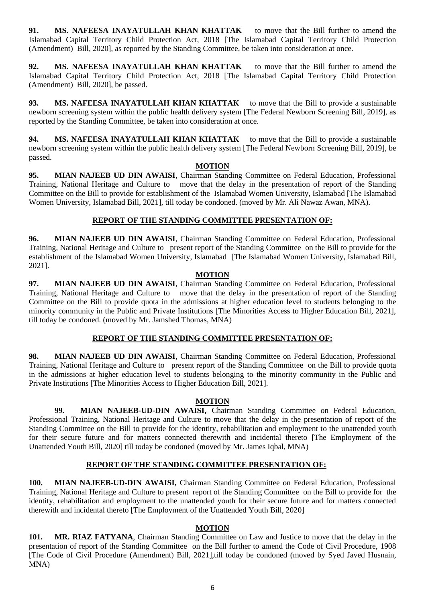**91. MS. NAFEESA INAYATULLAH KHAN KHATTAK** to move that the Bill further to amend the Islamabad Capital Territory Child Protection Act, 2018 [The Islamabad Capital Territory Child Protection (Amendment) Bill, 2020], as reported by the Standing Committee, be taken into consideration at once.

**92. MS. NAFEESA INAYATULLAH KHAN KHATTAK** to move that the Bill further to amend the Islamabad Capital Territory Child Protection Act, 2018 [The Islamabad Capital Territory Child Protection (Amendment) Bill, 2020], be passed.

**93. MS. NAFEESA INAYATULLAH KHAN KHATTAK** to move that the Bill to provide a sustainable newborn screening system within the public health delivery system [The Federal Newborn Screening Bill, 2019], as reported by the Standing Committee, be taken into consideration at once.

**94. MS. NAFEESA INAYATULLAH KHAN KHATTAK** to move that the Bill to provide a sustainable newborn screening system within the public health delivery system [The Federal Newborn Screening Bill, 2019], be passed.

### **MOTION**

**95. MIAN NAJEEB UD DIN AWAISI**, Chairman Standing Committee on Federal Education, Professional Training, National Heritage and Culture to move that the delay in the presentation of report of the Standing Committee on the Bill to provide for establishment of the Islamabad Women University, Islamabad [The Islamabad Women University, Islamabad Bill, 2021], till today be condoned. (moved by Mr. Ali Nawaz Awan, MNA).

## **REPORT OF THE STANDING COMMITTEE PRESENTATION OF:**

**96. MIAN NAJEEB UD DIN AWAISI**, Chairman Standing Committee on Federal Education, Professional Training, National Heritage and Culture to present report of the Standing Committee on the Bill to provide for the establishment of the Islamabad Women University, Islamabad [The Islamabad Women University, Islamabad Bill, 2021].

### **MOTION**

**97. MIAN NAJEEB UD DIN AWAISI**, Chairman Standing Committee on Federal Education, Professional Training, National Heritage and Culture to move that the delay in the presentation of report of the Standing Committee on the Bill to provide quota in the admissions at higher education level to students belonging to the minority community in the Public and Private Institutions [The Minorities Access to Higher Education Bill, 2021], till today be condoned. (moved by Mr. Jamshed Thomas, MNA)

## **REPORT OF THE STANDING COMMITTEE PRESENTATION OF:**

**98. MIAN NAJEEB UD DIN AWAISI**, Chairman Standing Committee on Federal Education, Professional Training, National Heritage and Culture to present report of the Standing Committee on the Bill to provide quota in the admissions at higher education level to students belonging to the minority community in the Public and Private Institutions [The Minorities Access to Higher Education Bill, 2021].

## **MOTION**

**99. MIAN NAJEEB-UD-DIN AWAISI,** Chairman Standing Committee on Federal Education, Professional Training, National Heritage and Culture to move that the delay in the presentation of report of the Standing Committee on the Bill to provide for the identity, rehabilitation and employment to the unattended youth for their secure future and for matters connected therewith and incidental thereto [The Employment of the Unattended Youth Bill, 2020] till today be condoned (moved by Mr. James Iqbal, MNA)

## **REPORT OF THE STANDING COMMITTEE PRESENTATION OF:**

**100. MIAN NAJEEB-UD-DIN AWAISI,** Chairman Standing Committee on Federal Education, Professional Training, National Heritage and Culture to present report of the Standing Committee on the Bill to provide for the identity, rehabilitation and employment to the unattended youth for their secure future and for matters connected therewith and incidental thereto [The Employment of the Unattended Youth Bill, 2020]

## **MOTION**

**101. MR. RIAZ FATYANA**, Chairman Standing Committee on Law and Justice to move that the delay in the presentation of report of the Standing Committee on the Bill further to amend the Code of Civil Procedure, 1908 [The Code of Civil Procedure (Amendment) Bill, 2021],till today be condoned (moved by Syed Javed Husnain, MNA)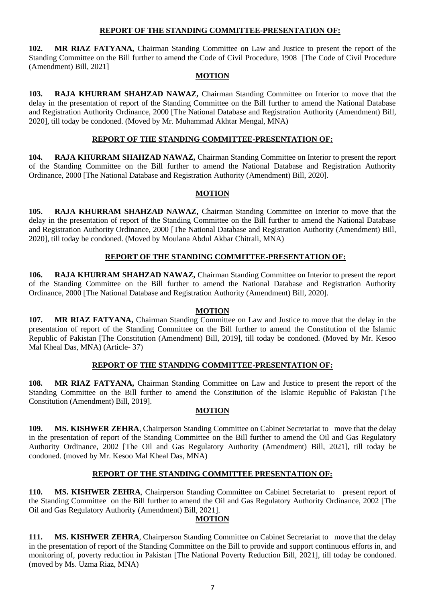### **REPORT OF THE STANDING COMMITTEE-PRESENTATION OF:**

**102. MR RIAZ FATYANA,** Chairman Standing Committee on Law and Justice to present the report of the Standing Committee on the Bill further to amend the Code of Civil Procedure, 1908 [The Code of Civil Procedure (Amendment) Bill, 2021]

### **MOTION**

**103. RAJA KHURRAM SHAHZAD NAWAZ,** Chairman Standing Committee on Interior to move that the delay in the presentation of report of the Standing Committee on the Bill further to amend the National Database and Registration Authority Ordinance, 2000 [The National Database and Registration Authority (Amendment) Bill, 2020], till today be condoned. (Moved by Mr. Muhammad Akhtar Mengal, MNA)

## **REPORT OF THE STANDING COMMITTEE-PRESENTATION OF:**

**104. RAJA KHURRAM SHAHZAD NAWAZ,** Chairman Standing Committee on Interior to present the report of the Standing Committee on the Bill further to amend the National Database and Registration Authority Ordinance, 2000 [The National Database and Registration Authority (Amendment) Bill, 2020].

### **MOTION**

**105. RAJA KHURRAM SHAHZAD NAWAZ,** Chairman Standing Committee on Interior to move that the delay in the presentation of report of the Standing Committee on the Bill further to amend the National Database and Registration Authority Ordinance, 2000 [The National Database and Registration Authority (Amendment) Bill, 2020], till today be condoned. (Moved by Moulana Abdul Akbar Chitrali, MNA)

## **REPORT OF THE STANDING COMMITTEE-PRESENTATION OF:**

**106. RAJA KHURRAM SHAHZAD NAWAZ,** Chairman Standing Committee on Interior to present the report of the Standing Committee on the Bill further to amend the National Database and Registration Authority Ordinance, 2000 [The National Database and Registration Authority (Amendment) Bill, 2020].

## **MOTION**

**107. MR RIAZ FATYANA,** Chairman Standing Committee on Law and Justice to move that the delay in the presentation of report of the Standing Committee on the Bill further to amend the Constitution of the Islamic Republic of Pakistan [The Constitution (Amendment) Bill, 2019], till today be condoned. (Moved by Mr. Kesoo Mal Kheal Das, MNA) (Article- 37)

## **REPORT OF THE STANDING COMMITTEE-PRESENTATION OF:**

**108. MR RIAZ FATYANA,** Chairman Standing Committee on Law and Justice to present the report of the Standing Committee on the Bill further to amend the Constitution of the Islamic Republic of Pakistan [The Constitution (Amendment) Bill, 2019].

### **MOTION**

**109. MS. KISHWER ZEHRA**, Chairperson Standing Committee on Cabinet Secretariat to move that the delay in the presentation of report of the Standing Committee on the Bill further to amend the Oil and Gas Regulatory Authority Ordinance, 2002 [The Oil and Gas Regulatory Authority (Amendment) Bill, 2021], till today be condoned. (moved by Mr. Kesoo Mal Kheal Das, MNA)

## **REPORT OF THE STANDING COMMITTEE PRESENTATION OF:**

**110. MS. KISHWER ZEHRA**, Chairperson Standing Committee on Cabinet Secretariat to present report of the Standing Committee on the Bill further to amend the Oil and Gas Regulatory Authority Ordinance, 2002 [The Oil and Gas Regulatory Authority (Amendment) Bill, 2021].

## **MOTION**

**111. MS. KISHWER ZEHRA**, Chairperson Standing Committee on Cabinet Secretariat to move that the delay in the presentation of report of the Standing Committee on the Bill to provide and support continuous efforts in, and monitoring of, poverty reduction in Pakistan [The National Poverty Reduction Bill, 2021], till today be condoned. (moved by Ms. Uzma Riaz, MNA)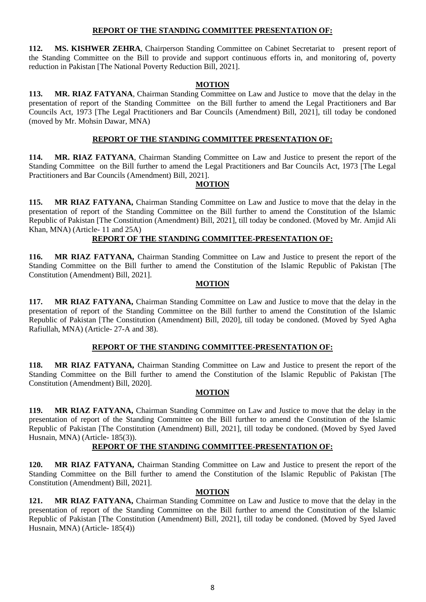### **REPORT OF THE STANDING COMMITTEE PRESENTATION OF:**

**112. MS. KISHWER ZEHRA**, Chairperson Standing Committee on Cabinet Secretariat to present report of the Standing Committee on the Bill to provide and support continuous efforts in, and monitoring of, poverty reduction in Pakistan [The National Poverty Reduction Bill, 2021].

### **MOTION**

**113. MR. RIAZ FATYANA**, Chairman Standing Committee on Law and Justice to move that the delay in the presentation of report of the Standing Committee on the Bill further to amend the Legal Practitioners and Bar Councils Act, 1973 [The Legal Practitioners and Bar Councils (Amendment) Bill, 2021], till today be condoned (moved by Mr. Mohsin Dawar, MNA)

## **REPORT OF THE STANDING COMMITTEE PRESENTATION OF:**

**114. MR. RIAZ FATYANA**, Chairman Standing Committee on Law and Justice to present the report of the Standing Committee on the Bill further to amend the Legal Practitioners and Bar Councils Act, 1973 [The Legal Practitioners and Bar Councils (Amendment) Bill, 2021].

### **MOTION**

**115. MR RIAZ FATYANA,** Chairman Standing Committee on Law and Justice to move that the delay in the presentation of report of the Standing Committee on the Bill further to amend the Constitution of the Islamic Republic of Pakistan [The Constitution (Amendment) Bill, 2021], till today be condoned. (Moved by Mr. Amjid Ali Khan, MNA) (Article- 11 and 25A)

## **REPORT OF THE STANDING COMMITTEE-PRESENTATION OF:**

**116. MR RIAZ FATYANA,** Chairman Standing Committee on Law and Justice to present the report of the Standing Committee on the Bill further to amend the Constitution of the Islamic Republic of Pakistan [The Constitution (Amendment) Bill, 2021].

### **MOTION**

**117. MR RIAZ FATYANA,** Chairman Standing Committee on Law and Justice to move that the delay in the presentation of report of the Standing Committee on the Bill further to amend the Constitution of the Islamic Republic of Pakistan [The Constitution (Amendment) Bill, 2020], till today be condoned. (Moved by Syed Agha Rafiullah, MNA) (Article- 27-A and 38).

### **REPORT OF THE STANDING COMMITTEE-PRESENTATION OF:**

**118. MR RIAZ FATYANA,** Chairman Standing Committee on Law and Justice to present the report of the Standing Committee on the Bill further to amend the Constitution of the Islamic Republic of Pakistan [The Constitution (Amendment) Bill, 2020].

## **MOTION**

**119. MR RIAZ FATYANA,** Chairman Standing Committee on Law and Justice to move that the delay in the presentation of report of the Standing Committee on the Bill further to amend the Constitution of the Islamic Republic of Pakistan [The Constitution (Amendment) Bill, 2021], till today be condoned. (Moved by Syed Javed Husnain, MNA) (Article- 185(3)).

## **REPORT OF THE STANDING COMMITTEE-PRESENTATION OF:**

**120. MR RIAZ FATYANA,** Chairman Standing Committee on Law and Justice to present the report of the Standing Committee on the Bill further to amend the Constitution of the Islamic Republic of Pakistan [The Constitution (Amendment) Bill, 2021].

### **MOTION**

**121. MR RIAZ FATYANA,** Chairman Standing Committee on Law and Justice to move that the delay in the presentation of report of the Standing Committee on the Bill further to amend the Constitution of the Islamic Republic of Pakistan [The Constitution (Amendment) Bill, 2021], till today be condoned. (Moved by Syed Javed Husnain, MNA) (Article- 185(4))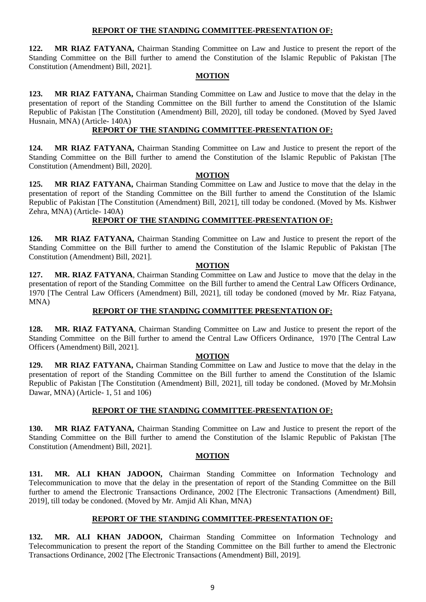### **REPORT OF THE STANDING COMMITTEE-PRESENTATION OF:**

**122. MR RIAZ FATYANA,** Chairman Standing Committee on Law and Justice to present the report of the Standing Committee on the Bill further to amend the Constitution of the Islamic Republic of Pakistan [The Constitution (Amendment) Bill, 2021].

#### **MOTION**

**123. MR RIAZ FATYANA,** Chairman Standing Committee on Law and Justice to move that the delay in the presentation of report of the Standing Committee on the Bill further to amend the Constitution of the Islamic Republic of Pakistan [The Constitution (Amendment) Bill, 2020], till today be condoned. (Moved by Syed Javed Husnain, MNA) (Article- 140A)

## **REPORT OF THE STANDING COMMITTEE-PRESENTATION OF:**

**124. MR RIAZ FATYANA,** Chairman Standing Committee on Law and Justice to present the report of the Standing Committee on the Bill further to amend the Constitution of the Islamic Republic of Pakistan [The Constitution (Amendment) Bill, 2020].

### **MOTION**

**125. MR RIAZ FATYANA,** Chairman Standing Committee on Law and Justice to move that the delay in the presentation of report of the Standing Committee on the Bill further to amend the Constitution of the Islamic Republic of Pakistan [The Constitution (Amendment) Bill, 2021], till today be condoned. (Moved by Ms. Kishwer Zehra, MNA) (Article- 140A)

### **REPORT OF THE STANDING COMMITTEE-PRESENTATION OF:**

**126. MR RIAZ FATYANA,** Chairman Standing Committee on Law and Justice to present the report of the Standing Committee on the Bill further to amend the Constitution of the Islamic Republic of Pakistan [The Constitution (Amendment) Bill, 2021].

#### **MOTION**

**127. MR. RIAZ FATYANA**, Chairman Standing Committee on Law and Justice to move that the delay in the presentation of report of the Standing Committee on the Bill further to amend the Central Law Officers Ordinance, 1970 [The Central Law Officers (Amendment) Bill, 2021], till today be condoned (moved by Mr. Riaz Fatyana, MNA)

### **REPORT OF THE STANDING COMMITTEE PRESENTATION OF:**

**128. MR. RIAZ FATYANA**, Chairman Standing Committee on Law and Justice to present the report of the Standing Committee on the Bill further to amend the Central Law Officers Ordinance, 1970 [The Central Law Officers (Amendment) Bill, 2021].

#### **MOTION**

**129. MR RIAZ FATYANA,** Chairman Standing Committee on Law and Justice to move that the delay in the presentation of report of the Standing Committee on the Bill further to amend the Constitution of the Islamic Republic of Pakistan [The Constitution (Amendment) Bill, 2021], till today be condoned. (Moved by Mr.Mohsin Dawar, MNA) (Article- 1, 51 and 106)

### **REPORT OF THE STANDING COMMITTEE-PRESENTATION OF:**

**130. MR RIAZ FATYANA,** Chairman Standing Committee on Law and Justice to present the report of the Standing Committee on the Bill further to amend the Constitution of the Islamic Republic of Pakistan [The Constitution (Amendment) Bill, 2021].

### **MOTION**

**131. MR. ALI KHAN JADOON,** Chairman Standing Committee on Information Technology and Telecommunication to move that the delay in the presentation of report of the Standing Committee on the Bill further to amend the Electronic Transactions Ordinance, 2002 [The Electronic Transactions (Amendment) Bill, 2019], till today be condoned. (Moved by Mr. Amjid Ali Khan, MNA)

### **REPORT OF THE STANDING COMMITTEE-PRESENTATION OF:**

**132. MR. ALI KHAN JADOON,** Chairman Standing Committee on Information Technology and Telecommunication to present the report of the Standing Committee on the Bill further to amend the Electronic Transactions Ordinance, 2002 [The Electronic Transactions (Amendment) Bill, 2019].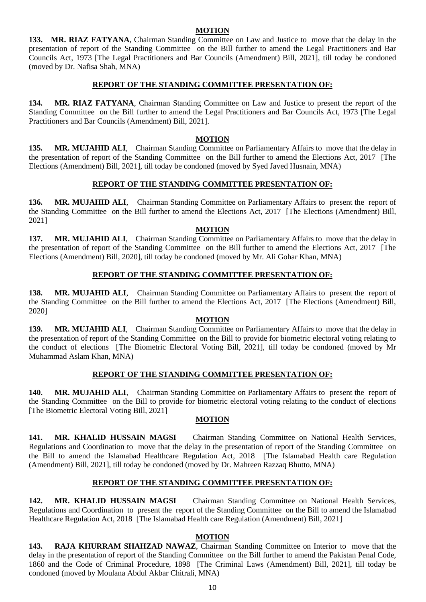### **MOTION**

**133. MR. RIAZ FATYANA**, Chairman Standing Committee on Law and Justice to move that the delay in the presentation of report of the Standing Committee on the Bill further to amend the Legal Practitioners and Bar Councils Act, 1973 [The Legal Practitioners and Bar Councils (Amendment) Bill, 2021], till today be condoned (moved by Dr. Nafisa Shah, MNA)

### **REPORT OF THE STANDING COMMITTEE PRESENTATION OF:**

**134. MR. RIAZ FATYANA**, Chairman Standing Committee on Law and Justice to present the report of the Standing Committee on the Bill further to amend the Legal Practitioners and Bar Councils Act, 1973 [The Legal Practitioners and Bar Councils (Amendment) Bill, 2021].

### **MOTION**

**135. MR. MUJAHID ALI**, Chairman Standing Committee on Parliamentary Affairs to move that the delay in the presentation of report of the Standing Committee on the Bill further to amend the Elections Act, 2017 [The Elections (Amendment) Bill, 2021], till today be condoned (moved by Syed Javed Husnain, MNA)

## **REPORT OF THE STANDING COMMITTEE PRESENTATION OF:**

**136. MR. MUJAHID ALI**, Chairman Standing Committee on Parliamentary Affairs to present the report of the Standing Committee on the Bill further to amend the Elections Act, 2017 [The Elections (Amendment) Bill, 2021]

### **MOTION**

**137. MR. MUJAHID ALI**, Chairman Standing Committee on Parliamentary Affairs to move that the delay in the presentation of report of the Standing Committee on the Bill further to amend the Elections Act, 2017 [The Elections (Amendment) Bill, 2020], till today be condoned (moved by Mr. Ali Gohar Khan, MNA)

### **REPORT OF THE STANDING COMMITTEE PRESENTATION OF:**

**138. MR. MUJAHID ALI**, Chairman Standing Committee on Parliamentary Affairs to present the report of the Standing Committee on the Bill further to amend the Elections Act, 2017 [The Elections (Amendment) Bill, 2020]

### **MOTION**

**139. MR. MUJAHID ALI**, Chairman Standing Committee on Parliamentary Affairs to move that the delay in the presentation of report of the Standing Committee on the Bill to provide for biometric electoral voting relating to the conduct of elections [The Biometric Electoral Voting Bill, 2021], till today be condoned (moved by Mr Muhammad Aslam Khan, MNA)

## **REPORT OF THE STANDING COMMITTEE PRESENTATION OF:**

**140. MR. MUJAHID ALI**, Chairman Standing Committee on Parliamentary Affairs to present the report of the Standing Committee on the Bill to provide for biometric electoral voting relating to the conduct of elections [The Biometric Electoral Voting Bill, 2021]

## **MOTION**

**141. MR. KHALID HUSSAIN MAGSI** Chairman Standing Committee on National Health Services, Regulations and Coordination to move that the delay in the presentation of report of the Standing Committee on the Bill to amend the Islamabad Healthcare Regulation Act, 2018 [The Islamabad Health care Regulation (Amendment) Bill, 2021], till today be condoned (moved by Dr. Mahreen Razzaq Bhutto, MNA)

## **REPORT OF THE STANDING COMMITTEE PRESENTATION OF:**

**142. MR. KHALID HUSSAIN MAGSI** Chairman Standing Committee on National Health Services, Regulations and Coordination to present the report of the Standing Committee on the Bill to amend the Islamabad Healthcare Regulation Act, 2018 [The Islamabad Health care Regulation (Amendment) Bill, 2021]

### **MOTION**

**143. RAJA KHURRAM SHAHZAD NAWAZ**, Chairman Standing Committee on Interior to move that the delay in the presentation of report of the Standing Committee on the Bill further to amend the Pakistan Penal Code, 1860 and the Code of Criminal Procedure, 1898 [The Criminal Laws (Amendment) Bill, 2021], till today be condoned (moved by Moulana Abdul Akbar Chitrali, MNA)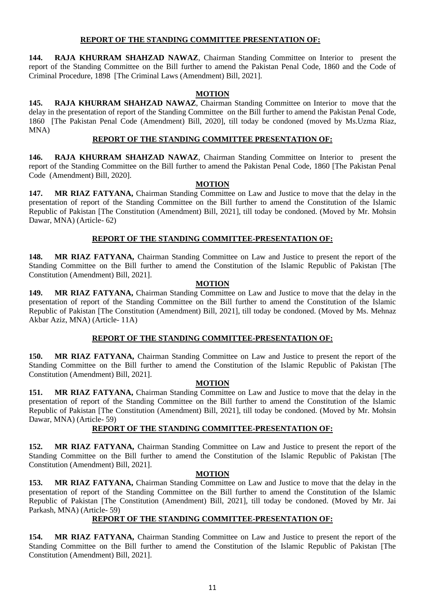## **REPORT OF THE STANDING COMMITTEE PRESENTATION OF:**

**144. RAJA KHURRAM SHAHZAD NAWAZ**, Chairman Standing Committee on Interior to present the report of the Standing Committee on the Bill further to amend the Pakistan Penal Code, 1860 and the Code of Criminal Procedure, 1898 [The Criminal Laws (Amendment) Bill, 2021].

## **MOTION**

**145. RAJA KHURRAM SHAHZAD NAWAZ**, Chairman Standing Committee on Interior to move that the delay in the presentation of report of the Standing Committee on the Bill further to amend the Pakistan Penal Code, 1860 [The Pakistan Penal Code (Amendment) Bill, 2020], till today be condoned (moved by Ms.Uzma Riaz, MNA)

# **REPORT OF THE STANDING COMMITTEE PRESENTATION OF:**

**146. RAJA KHURRAM SHAHZAD NAWAZ**, Chairman Standing Committee on Interior to present the report of the Standing Committee on the Bill further to amend the Pakistan Penal Code, 1860 [The Pakistan Penal Code (Amendment) Bill, 2020].

### **MOTION**

**147. MR RIAZ FATYANA,** Chairman Standing Committee on Law and Justice to move that the delay in the presentation of report of the Standing Committee on the Bill further to amend the Constitution of the Islamic Republic of Pakistan [The Constitution (Amendment) Bill, 2021], till today be condoned. (Moved by Mr. Mohsin Dawar, MNA) (Article- 62)

## **REPORT OF THE STANDING COMMITTEE-PRESENTATION OF:**

**148. MR RIAZ FATYANA,** Chairman Standing Committee on Law and Justice to present the report of the Standing Committee on the Bill further to amend the Constitution of the Islamic Republic of Pakistan [The Constitution (Amendment) Bill, 2021].

### **MOTION**

**149. MR RIAZ FATYANA,** Chairman Standing Committee on Law and Justice to move that the delay in the presentation of report of the Standing Committee on the Bill further to amend the Constitution of the Islamic Republic of Pakistan [The Constitution (Amendment) Bill, 2021], till today be condoned. (Moved by Ms. Mehnaz Akbar Aziz, MNA) (Article- 11A)

## **REPORT OF THE STANDING COMMITTEE-PRESENTATION OF:**

**150. MR RIAZ FATYANA,** Chairman Standing Committee on Law and Justice to present the report of the Standing Committee on the Bill further to amend the Constitution of the Islamic Republic of Pakistan [The Constitution (Amendment) Bill, 2021].

### **MOTION**

**151. MR RIAZ FATYANA,** Chairman Standing Committee on Law and Justice to move that the delay in the presentation of report of the Standing Committee on the Bill further to amend the Constitution of the Islamic Republic of Pakistan [The Constitution (Amendment) Bill, 2021], till today be condoned. (Moved by Mr. Mohsin Dawar, MNA) (Article- 59)

## **REPORT OF THE STANDING COMMITTEE-PRESENTATION OF:**

**152. MR RIAZ FATYANA,** Chairman Standing Committee on Law and Justice to present the report of the Standing Committee on the Bill further to amend the Constitution of the Islamic Republic of Pakistan [The Constitution (Amendment) Bill, 2021].

### **MOTION**

**153. MR RIAZ FATYANA,** Chairman Standing Committee on Law and Justice to move that the delay in the presentation of report of the Standing Committee on the Bill further to amend the Constitution of the Islamic Republic of Pakistan [The Constitution (Amendment) Bill, 2021], till today be condoned. (Moved by Mr. Jai Parkash, MNA) (Article- 59)

### **REPORT OF THE STANDING COMMITTEE-PRESENTATION OF:**

**154. MR RIAZ FATYANA,** Chairman Standing Committee on Law and Justice to present the report of the Standing Committee on the Bill further to amend the Constitution of the Islamic Republic of Pakistan [The Constitution (Amendment) Bill, 2021].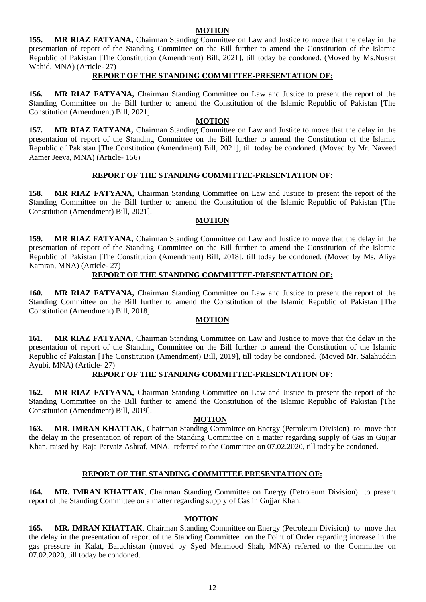### **MOTION**

**155. MR RIAZ FATYANA,** Chairman Standing Committee on Law and Justice to move that the delay in the presentation of report of the Standing Committee on the Bill further to amend the Constitution of the Islamic Republic of Pakistan [The Constitution (Amendment) Bill, 2021], till today be condoned. (Moved by Ms.Nusrat Wahid, MNA) (Article- 27)

### **REPORT OF THE STANDING COMMITTEE-PRESENTATION OF:**

**156. MR RIAZ FATYANA,** Chairman Standing Committee on Law and Justice to present the report of the Standing Committee on the Bill further to amend the Constitution of the Islamic Republic of Pakistan [The Constitution (Amendment) Bill, 2021].

### **MOTION**

**157. MR RIAZ FATYANA,** Chairman Standing Committee on Law and Justice to move that the delay in the presentation of report of the Standing Committee on the Bill further to amend the Constitution of the Islamic Republic of Pakistan [The Constitution (Amendment) Bill, 2021], till today be condoned. (Moved by Mr. Naveed Aamer Jeeva, MNA) (Article- 156)

### **REPORT OF THE STANDING COMMITTEE-PRESENTATION OF:**

**158. MR RIAZ FATYANA,** Chairman Standing Committee on Law and Justice to present the report of the Standing Committee on the Bill further to amend the Constitution of the Islamic Republic of Pakistan [The Constitution (Amendment) Bill, 2021].

### **MOTION**

**159. MR RIAZ FATYANA,** Chairman Standing Committee on Law and Justice to move that the delay in the presentation of report of the Standing Committee on the Bill further to amend the Constitution of the Islamic Republic of Pakistan [The Constitution (Amendment) Bill, 2018], till today be condoned. (Moved by Ms. Aliya Kamran, MNA) (Article- 27)

### **REPORT OF THE STANDING COMMITTEE-PRESENTATION OF:**

**160. MR RIAZ FATYANA,** Chairman Standing Committee on Law and Justice to present the report of the Standing Committee on the Bill further to amend the Constitution of the Islamic Republic of Pakistan [The Constitution (Amendment) Bill, 2018].

## **MOTION**

**161. MR RIAZ FATYANA,** Chairman Standing Committee on Law and Justice to move that the delay in the presentation of report of the Standing Committee on the Bill further to amend the Constitution of the Islamic Republic of Pakistan [The Constitution (Amendment) Bill, 2019], till today be condoned. (Moved Mr. Salahuddin Ayubi, MNA) (Article- 27)

## **REPORT OF THE STANDING COMMITTEE-PRESENTATION OF:**

**162. MR RIAZ FATYANA,** Chairman Standing Committee on Law and Justice to present the report of the Standing Committee on the Bill further to amend the Constitution of the Islamic Republic of Pakistan [The Constitution (Amendment) Bill, 2019].

### **MOTION**

**163. MR. IMRAN KHATTAK**, Chairman Standing Committee on Energy (Petroleum Division) to move that the delay in the presentation of report of the Standing Committee on a matter regarding supply of Gas in Gujjar Khan, raised by Raja Pervaiz Ashraf, MNA, referred to the Committee on 07.02.2020, till today be condoned.

## **REPORT OF THE STANDING COMMITTEE PRESENTATION OF:**

**164. MR. IMRAN KHATTAK**, Chairman Standing Committee on Energy (Petroleum Division) to present report of the Standing Committee on a matter regarding supply of Gas in Gujjar Khan.

### **MOTION**

**165. MR. IMRAN KHATTAK**, Chairman Standing Committee on Energy (Petroleum Division) to move that the delay in the presentation of report of the Standing Committee on the Point of Order regarding increase in the gas pressure in Kalat, Baluchistan (moved by Syed Mehmood Shah, MNA) referred to the Committee on 07.02.2020, till today be condoned.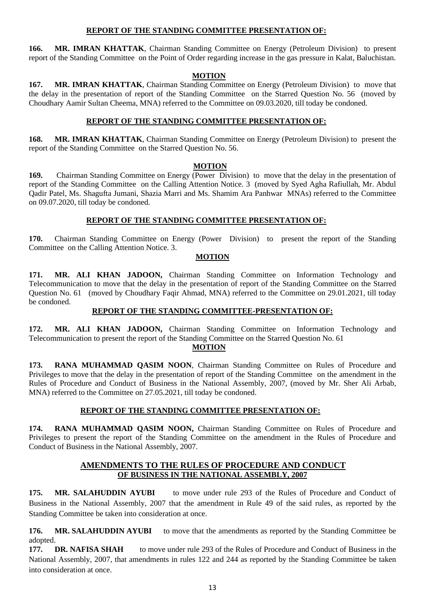### **REPORT OF THE STANDING COMMITTEE PRESENTATION OF:**

**166. MR. IMRAN KHATTAK**, Chairman Standing Committee on Energy (Petroleum Division) to present report of the Standing Committee on the Point of Order regarding increase in the gas pressure in Kalat, Baluchistan.

### **MOTION**

**167. MR. IMRAN KHATTAK**, Chairman Standing Committee on Energy (Petroleum Division) to move that the delay in the presentation of report of the Standing Committee on the Starred Question No. 56 (moved by Choudhary Aamir Sultan Cheema, MNA) referred to the Committee on 09.03.2020, till today be condoned.

### **REPORT OF THE STANDING COMMITTEE PRESENTATION OF:**

**168. MR. IMRAN KHATTAK**, Chairman Standing Committee on Energy (Petroleum Division) to present the report of the Standing Committee on the Starred Question No. 56.

### **MOTION**

**169.** Chairman Standing Committee on Energy (Power Division) to move that the delay in the presentation of report of the Standing Committee on the Calling Attention Notice. 3 (moved by Syed Agha Rafiullah, Mr. Abdul Qadir Patel, Ms. Shagufta Jumani, Shazia Marri and Ms. Shamim Ara Panhwar MNAs) referred to the Committee on 09.07.2020, till today be condoned.

### **REPORT OF THE STANDING COMMITTEE PRESENTATION OF:**

**170.** Chairman Standing Committee on Energy (Power Division) to present the report of the Standing Committee on the Calling Attention Notice. 3.

### **MOTION**

**171. MR. ALI KHAN JADOON,** Chairman Standing Committee on Information Technology and Telecommunication to move that the delay in the presentation of report of the Standing Committee on the Starred Question No. 61 (moved by Choudhary Faqir Ahmad, MNA) referred to the Committee on 29.01.2021, till today be condoned.

### **REPORT OF THE STANDING COMMITTEE-PRESENTATION OF:**

**172. MR. ALI KHAN JADOON,** Chairman Standing Committee on Information Technology and Telecommunication to present the report of the Standing Committee on the Starred Question No. 61

 **MOTION**

**173. RANA MUHAMMAD QASIM NOON**, Chairman Standing Committee on Rules of Procedure and Privileges to move that the delay in the presentation of report of the Standing Committee on the amendment in the Rules of Procedure and Conduct of Business in the National Assembly, 2007, (moved by Mr. Sher Ali Arbab, MNA) referred to the Committee on 27.05.2021, till today be condoned.

## **REPORT OF THE STANDING COMMITTEE PRESENTATION OF:**

**174. RANA MUHAMMAD QASIM NOON,** Chairman Standing Committee on Rules of Procedure and Privileges to present the report of the Standing Committee on the amendment in the Rules of Procedure and Conduct of Business in the National Assembly, 2007.

## **AMENDMENTS TO THE RULES OF PROCEDURE AND CONDUCT OF BUSINESS IN THE NATIONAL ASSEMBLY, 2007**

**175. MR. SALAHUDDIN AYUBI** to move under rule 293 of the Rules of Procedure and Conduct of Business in the National Assembly, 2007 that the amendment in Rule 49 of the said rules, as reported by the Standing Committee be taken into consideration at once.

**176. MR. SALAHUDDIN AYUBI** to move that the amendments as reported by the Standing Committee be adopted.

**177. DR. NAFISA SHAH** to move under rule 293 of the Rules of Procedure and Conduct of Business in the National Assembly, 2007, that amendments in rules 122 and 244 as reported by the Standing Committee be taken into consideration at once.